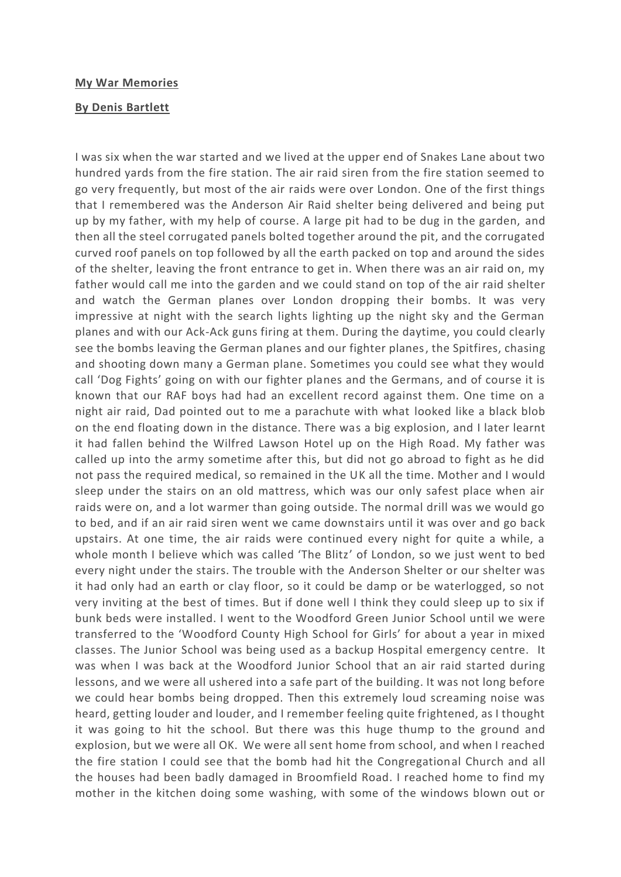## **My War Memories**

## **By Denis Bartlett**

I was six when the war started and we lived at the upper end of Snakes Lane about two hundred yards from the fire station. The air raid siren from the fire station seemed to go very frequently, but most of the air raids were over London. One of the first things that I remembered was the Anderson Air Raid shelter being delivered and being put up by my father, with my help of course. A large pit had to be dug in the garden, and then all the steel corrugated panels bolted together around the pit, and the corrugated curved roof panels on top followed by all the earth packed on top and around the sides of the shelter, leaving the front entrance to get in. When there was an air raid on, my father would call me into the garden and we could stand on top of the air raid shelter and watch the German planes over London dropping their bombs. It was very impressive at night with the search lights lighting up the night sky and the German planes and with our Ack-Ack guns firing at them. During the daytime, you could clearly see the bombs leaving the German planes and our fighter planes, the Spitfires, chasing and shooting down many a German plane. Sometimes you could see what they would call 'Dog Fights' going on with our fighter planes and the Germans, and of course it is known that our RAF boys had had an excellent record against them. One time on a night air raid, Dad pointed out to me a parachute with what looked like a black blob on the end floating down in the distance. There was a big explosion, and I later learnt it had fallen behind the Wilfred Lawson Hotel up on the High Road. My father was called up into the army sometime after this, but did not go abroad to fight as he did not pass the required medical, so remained in the UK all the time. Mother and I would sleep under the stairs on an old mattress, which was our only safest place when air raids were on, and a lot warmer than going outside. The normal drill was we would go to bed, and if an air raid siren went we came downstairs until it was over and go back upstairs. At one time, the air raids were continued every night for quite a while, a whole month I believe which was called 'The Blitz' of London, so we just went to bed every night under the stairs. The trouble with the Anderson Shelter or our shelter was it had only had an earth or clay floor, so it could be damp or be waterlogged, so not very inviting at the best of times. But if done well I think they could sleep up to six if bunk beds were installed. I went to the Woodford Green Junior School until we were transferred to the 'Woodford County High School for Girls' for about a year in mixed classes. The Junior School was being used as a backup Hospital emergency centre. It was when I was back at the Woodford Junior School that an air raid started during lessons, and we were all ushered into a safe part of the building. It was not long before we could hear bombs being dropped. Then this extremely loud screaming noise was heard, getting louder and louder, and I remember feeling quite frightened, as I thought it was going to hit the school. But there was this huge thump to the ground and explosion, but we were all OK. We were all sent home from school, and when I reached the fire station I could see that the bomb had hit the Congregational Church and all the houses had been badly damaged in Broomfield Road. I reached home to find my mother in the kitchen doing some washing, with some of the windows blown out or